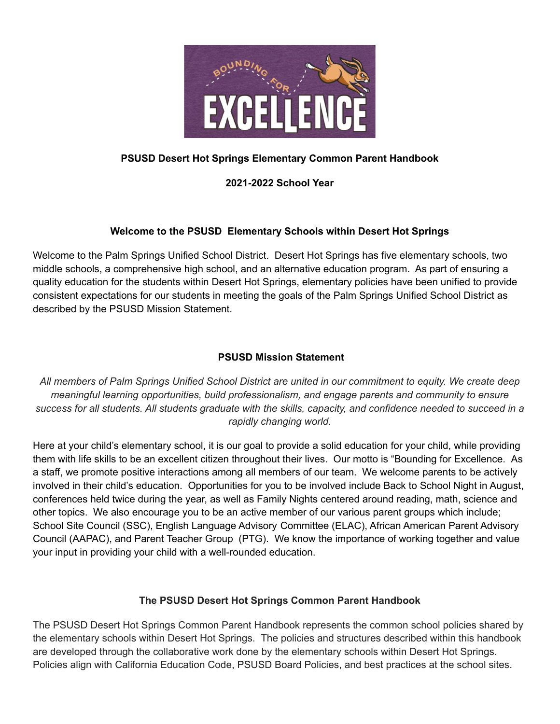

## **PSUSD Desert Hot Springs Elementary Common Parent Handbook**

### **2021-2022 School Year**

## **Welcome to the PSUSD Elementary Schools within Desert Hot Springs**

Welcome to the Palm Springs Unified School District. Desert Hot Springs has five elementary schools, two middle schools, a comprehensive high school, and an alternative education program. As part of ensuring a quality education for the students within Desert Hot Springs, elementary policies have been unified to provide consistent expectations for our students in meeting the goals of the Palm Springs Unified School District as described by the PSUSD Mission Statement.

### **PSUSD Mission Statement**

All members of Palm Springs Unified School District are united in our commitment to equity. We create deep *meaningful learning opportunities, build professionalism, and engage parents and community to ensure* success for all students. All students graduate with the skills, capacity, and confidence needed to succeed in a *rapidly changing world.*

Here at your child's elementary school, it is our goal to provide a solid education for your child, while providing them with life skills to be an excellent citizen throughout their lives. Our motto is "Bounding for Excellence. As a staff, we promote positive interactions among all members of our team. We welcome parents to be actively involved in their child's education. Opportunities for you to be involved include Back to School Night in August, conferences held twice during the year, as well as Family Nights centered around reading, math, science and other topics. We also encourage you to be an active member of our various parent groups which include; School Site Council (SSC), English Language Advisory Committee (ELAC), African American Parent Advisory Council (AAPAC), and Parent Teacher Group (PTG). We know the importance of working together and value your input in providing your child with a well-rounded education.

## **The PSUSD Desert Hot Springs Common Parent Handbook**

The PSUSD Desert Hot Springs Common Parent Handbook represents the common school policies shared by the elementary schools within Desert Hot Springs. The policies and structures described within this handbook are developed through the collaborative work done by the elementary schools within Desert Hot Springs. Policies align with California Education Code, PSUSD Board Policies, and best practices at the school sites.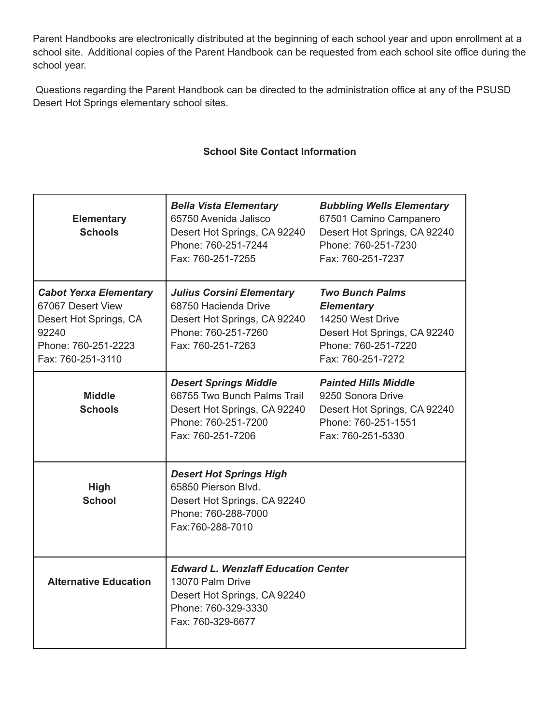Parent Handbooks are electronically distributed at the beginning of each school year and upon enrollment at a school site. Additional copies of the Parent Handbook can be requested from each school site office during the school year.

Questions regarding the Parent Handbook can be directed to the administration office at any of the PSUSD Desert Hot Springs elementary school sites.

## **School Site Contact Information**

| <b>Elementary</b><br><b>Schools</b>                                                                                               | <b>Bella Vista Elementary</b><br>65750 Avenida Jalisco<br>Desert Hot Springs, CA 92240<br>Phone: 760-251-7244<br>Fax: 760-251-7255         | <b>Bubbling Wells Elementary</b><br>67501 Camino Campanero<br>Desert Hot Springs, CA 92240<br>Phone: 760-251-7230<br>Fax: 760-251-7237 |
|-----------------------------------------------------------------------------------------------------------------------------------|--------------------------------------------------------------------------------------------------------------------------------------------|----------------------------------------------------------------------------------------------------------------------------------------|
| <b>Cabot Yerxa Elementary</b><br>67067 Desert View<br>Desert Hot Springs, CA<br>92240<br>Phone: 760-251-2223<br>Fax: 760-251-3110 | <b>Julius Corsini Elementary</b><br>68750 Hacienda Drive<br>Desert Hot Springs, CA 92240<br>Phone: 760-251-7260<br>Fax: 760-251-7263       | Two Bunch Palms<br><b>Elementary</b><br>14250 West Drive<br>Desert Hot Springs, CA 92240<br>Phone: 760-251-7220<br>Fax: 760-251-7272   |
| <b>Middle</b><br><b>Schools</b>                                                                                                   | <b>Desert Springs Middle</b><br>66755 Two Bunch Palms Trail<br>Desert Hot Springs, CA 92240<br>Phone: 760-251-7200<br>Fax: 760-251-7206    | <b>Painted Hills Middle</b><br>9250 Sonora Drive<br>Desert Hot Springs, CA 92240<br>Phone: 760-251-1551<br>Fax: 760-251-5330           |
| <b>High</b><br><b>School</b>                                                                                                      | <b>Desert Hot Springs High</b><br>65850 Pierson Blvd.<br>Desert Hot Springs, CA 92240<br>Phone: 760-288-7000<br>Fax:760-288-7010           |                                                                                                                                        |
| <b>Alternative Education</b>                                                                                                      | <b>Edward L. Wenzlaff Education Center</b><br>13070 Palm Drive<br>Desert Hot Springs, CA 92240<br>Phone: 760-329-3330<br>Fax: 760-329-6677 |                                                                                                                                        |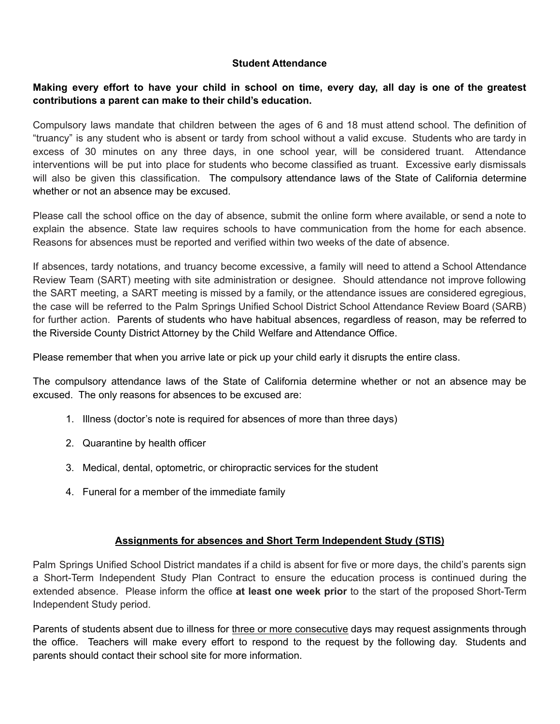#### **Student Attendance**

### Making every effort to have your child in school on time, every day, all day is one of the greatest **contributions a parent can make to their child's education.**

Compulsory laws mandate that children between the ages of 6 and 18 must attend school. The definition of "truancy" is any student who is absent or tardy from school without a valid excuse. Students who are tardy in excess of 30 minutes on any three days, in one school year, will be considered truant. Attendance interventions will be put into place for students who become classified as truant. Excessive early dismissals will also be given this classification. The compulsory attendance laws of the State of California determine whether or not an absence may be excused.

Please call the school office on the day of absence, submit the online form where available, or send a note to explain the absence. State law requires schools to have communication from the home for each absence. Reasons for absences must be reported and verified within two weeks of the date of absence.

If absences, tardy notations, and truancy become excessive, a family will need to attend a School Attendance Review Team (SART) meeting with site administration or designee. Should attendance not improve following the SART meeting, a SART meeting is missed by a family, or the attendance issues are considered egregious, the case will be referred to the Palm Springs Unified School District School Attendance Review Board (SARB) for further action. Parents of students who have habitual absences, regardless of reason, may be referred to the Riverside County District Attorney by the Child Welfare and Attendance Office.

Please remember that when you arrive late or pick up your child early it disrupts the entire class.

The compulsory attendance laws of the State of California determine whether or not an absence may be excused. The only reasons for absences to be excused are:

- 1. Illness (doctor's note is required for absences of more than three days)
- 2. Quarantine by health officer
- 3. Medical, dental, optometric, or chiropractic services for the student
- 4. Funeral for a member of the immediate family

## **Assignments for absences and Short Term Independent Study (STIS)**

Palm Springs Unified School District mandates if a child is absent for five or more days, the child's parents sign a Short-Term Independent Study Plan Contract to ensure the education process is continued during the extended absence. Please inform the office **at least one week prior** to the start of the proposed Short-Term Independent Study period.

Parents of students absent due to illness for three or more consecutive days may request assignments through the office. Teachers will make every effort to respond to the request by the following day. Students and parents should contact their school site for more information.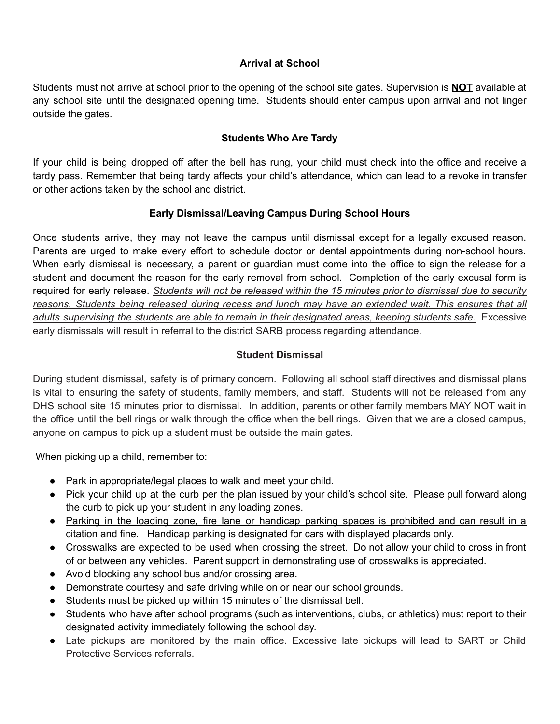## **Arrival at School**

Students must not arrive at school prior to the opening of the school site gates. Supervision is **NOT** available at any school site until the designated opening time. Students should enter campus upon arrival and not linger outside the gates.

### **Students Who Are Tardy**

If your child is being dropped off after the bell has rung, your child must check into the office and receive a tardy pass. Remember that being tardy affects your child's attendance, which can lead to a revoke in transfer or other actions taken by the school and district.

### **Early Dismissal/Leaving Campus During School Hours**

Once students arrive, they may not leave the campus until dismissal except for a legally excused reason. Parents are urged to make every effort to schedule doctor or dental appointments during non-school hours. When early dismissal is necessary, a parent or guardian must come into the office to sign the release for a student and document the reason for the early removal from school. Completion of the early excusal form is required for early release. *Students will not be released within the 15 minutes prior to dismissal due to security reasons. Students being released during recess and lunch may have an extended wait. This ensures that all adults supervising the students are able to remain in their designated areas, keeping students safe.* Excessive early dismissals will result in referral to the district SARB process regarding attendance.

### **Student Dismissal**

During student dismissal, safety is of primary concern. Following all school staff directives and dismissal plans is vital to ensuring the safety of students, family members, and staff. Students will not be released from any DHS school site 15 minutes prior to dismissal. In addition, parents or other family members MAY NOT wait in the office until the bell rings or walk through the office when the bell rings. Given that we are a closed campus, anyone on campus to pick up a student must be outside the main gates.

When picking up a child, remember to:

- Park in appropriate/legal places to walk and meet your child.
- Pick your child up at the curb per the plan issued by your child's school site. Please pull forward along the curb to pick up your student in any loading zones.
- Parking in the loading zone, fire lane or handicap parking spaces is prohibited and can result in a citation and fine. Handicap parking is designated for cars with displayed placards only.
- Crosswalks are expected to be used when crossing the street. Do not allow your child to cross in front of or between any vehicles. Parent support in demonstrating use of crosswalks is appreciated.
- Avoid blocking any school bus and/or crossing area.
- Demonstrate courtesy and safe driving while on or near our school grounds.
- Students must be picked up within 15 minutes of the dismissal bell.
- Students who have after school programs (such as interventions, clubs, or athletics) must report to their designated activity immediately following the school day.
- Late pickups are monitored by the main office. Excessive late pickups will lead to SART or Child Protective Services referrals.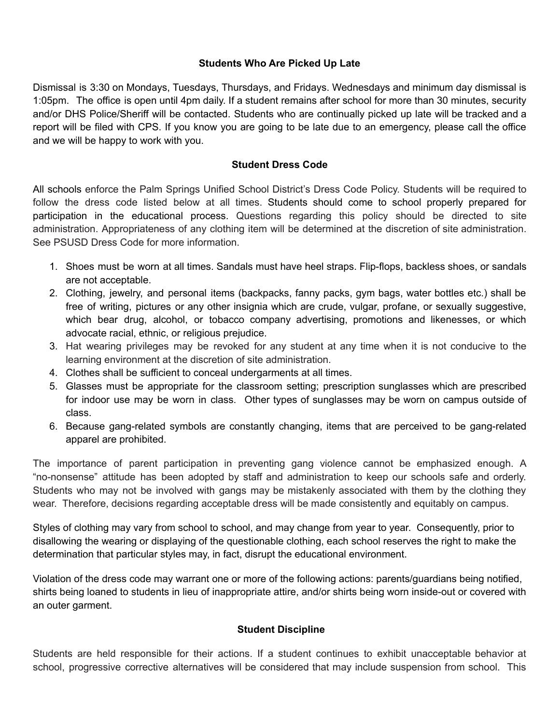### **Students Who Are Picked Up Late**

Dismissal is 3:30 on Mondays, Tuesdays, Thursdays, and Fridays. Wednesdays and minimum day dismissal is 1:05pm. The office is open until 4pm daily. If a student remains after school for more than 30 minutes, security and/or DHS Police/Sheriff will be contacted. Students who are continually picked up late will be tracked and a report will be filed with CPS. If you know you are going to be late due to an emergency, please call the office and we will be happy to work with you.

#### **Student Dress Code**

All schools enforce the Palm Springs Unified School District's Dress Code Policy. Students will be required to follow the dress code listed below at all times. Students should come to school properly prepared for participation in the educational process. Questions regarding this policy should be directed to site administration. Appropriateness of any clothing item will be determined at the discretion of site administration. See PSUSD Dress Code for more information.

- 1. Shoes must be worn at all times. Sandals must have heel straps. Flip-flops, backless shoes, or sandals are not acceptable.
- 2. Clothing, jewelry, and personal items (backpacks, fanny packs, gym bags, water bottles etc.) shall be free of writing, pictures or any other insignia which are crude, vulgar, profane, or sexually suggestive, which bear drug, alcohol, or tobacco company advertising, promotions and likenesses, or which advocate racial, ethnic, or religious prejudice.
- 3. Hat wearing privileges may be revoked for any student at any time when it is not conducive to the learning environment at the discretion of site administration.
- 4. Clothes shall be sufficient to conceal undergarments at all times.
- 5. Glasses must be appropriate for the classroom setting; prescription sunglasses which are prescribed for indoor use may be worn in class. Other types of sunglasses may be worn on campus outside of class.
- 6. Because gang-related symbols are constantly changing, items that are perceived to be gang-related apparel are prohibited.

The importance of parent participation in preventing gang violence cannot be emphasized enough. A "no-nonsense" attitude has been adopted by staff and administration to keep our schools safe and orderly. Students who may not be involved with gangs may be mistakenly associated with them by the clothing they wear. Therefore, decisions regarding acceptable dress will be made consistently and equitably on campus.

Styles of clothing may vary from school to school, and may change from year to year. Consequently, prior to disallowing the wearing or displaying of the questionable clothing, each school reserves the right to make the determination that particular styles may, in fact, disrupt the educational environment.

Violation of the dress code may warrant one or more of the following actions: parents/guardians being notified, shirts being loaned to students in lieu of inappropriate attire, and/or shirts being worn inside-out or covered with an outer garment.

## **Student Discipline**

Students are held responsible for their actions. If a student continues to exhibit unacceptable behavior at school, progressive corrective alternatives will be considered that may include suspension from school. This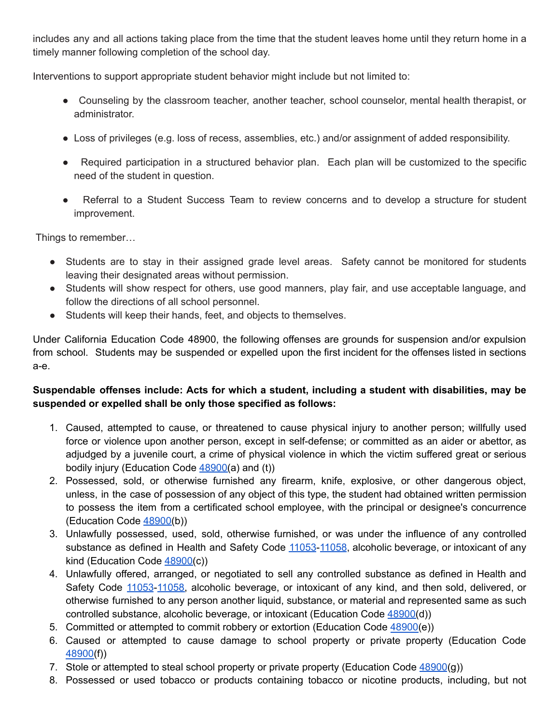includes any and all actions taking place from the time that the student leaves home until they return home in a timely manner following completion of the school day.

Interventions to support appropriate student behavior might include but not limited to:

- Counseling by the classroom teacher, another teacher, school counselor, mental health therapist, or administrator.
- Loss of privileges (e.g. loss of recess, assemblies, etc.) and/or assignment of added responsibility.
- Required participation in a structured behavior plan. Each plan will be customized to the specific need of the student in question.
- Referral to a Student Success Team to review concerns and to develop a structure for student improvement.

Things to remember…

- Students are to stay in their assigned grade level areas. Safety cannot be monitored for students leaving their designated areas without permission.
- Students will show respect for others, use good manners, play fair, and use acceptable language, and follow the directions of all school personnel.
- Students will keep their hands, feet, and objects to themselves.

Under California Education Code 48900, the following offenses are grounds for suspension and/or expulsion from school. Students may be suspended or expelled upon the first incident for the offenses listed in sections a-e.

# **Suspendable offenses include: Acts for which a student, including a student with disabilities, may be suspended or expelled shall be only those specified as follows:**

- 1. Caused, attempted to cause, or threatened to cause physical injury to another person; willfully used force or violence upon another person, except in self-defense; or committed as an aider or abettor, as adjudged by a juvenile court, a crime of physical violence in which the victim suffered great or serious bodily injury (Education Code  $48900(a)$  $48900(a)$  and (t))
- 2. Possessed, sold, or otherwise furnished any firearm, knife, explosive, or other dangerous object, unless, in the case of possession of any object of this type, the student had obtained written permission to possess the item from a certificated school employee, with the principal or designee's concurrence (Education Code [48900\(](http://www.gamutonline.net/district/palmsprings/displayPolicy/137736/5)b))
- 3. Unlawfully possessed, used, sold, otherwise furnished, or was under the influence of any controlled substance as defined in Health and Safety Code [11053](http://www.gamutonline.net/district/palmsprings/displayPolicy/149830/5)-[11058](http://www.gamutonline.net/district/palmsprings/displayPolicy/149833/5), alcoholic beverage, or intoxicant of any kind (Education Code [48900\(](http://www.gamutonline.net/district/palmsprings/displayPolicy/137736/5)c))
- 4. Unlawfully offered, arranged, or negotiated to sell any controlled substance as defined in Health and Safety Code [11053](http://www.gamutonline.net/district/palmsprings/displayPolicy/149830/5)-[11058,](http://www.gamutonline.net/district/palmsprings/displayPolicy/149833/5) alcoholic beverage, or intoxicant of any kind, and then sold, delivered, or otherwise furnished to any person another liquid, substance, or material and represented same as such controlled substance, alcoholic beverage, or intoxicant (Education Code [48900\(](http://www.gamutonline.net/district/palmsprings/displayPolicy/137736/5)d))
- 5. Committed or attempted to commit robbery or extortion (Education Code [48900\(](http://www.gamutonline.net/district/palmsprings/displayPolicy/137736/5)e))
- 6. Caused or attempted to cause damage to school property or private property (Education Code [48900\(](http://www.gamutonline.net/district/palmsprings/displayPolicy/137736/5)f))
- 7. Stole or attempted to steal school property or private property (Education Code [48900](http://www.gamutonline.net/district/palmsprings/displayPolicy/137736/5)(g))
- 8. Possessed or used tobacco or products containing tobacco or nicotine products, including, but not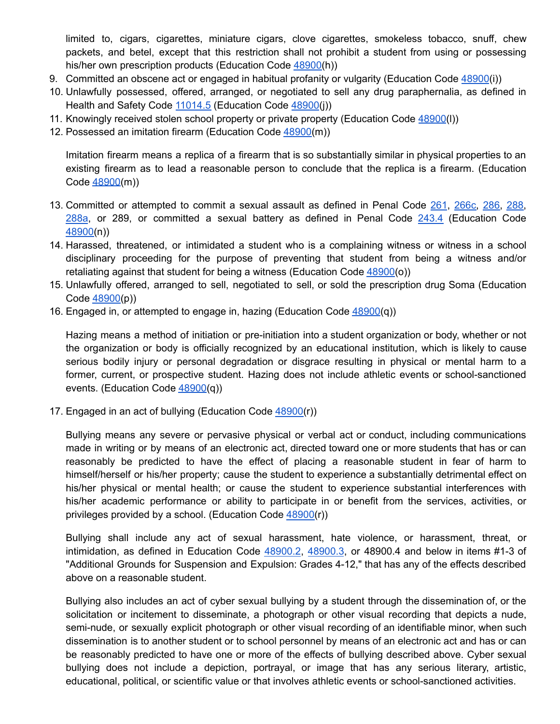limited to, cigars, cigarettes, miniature cigars, clove cigarettes, smokeless tobacco, snuff, chew packets, and betel, except that this restriction shall not prohibit a student from using or possessing his/her own prescription products (Education Code [48900\(](http://www.gamutonline.net/district/palmsprings/displayPolicy/137736/5)h))

- 9. Committed an obscene act or engaged in habitual profanity or vulgarity (Education Code [48900](http://www.gamutonline.net/district/palmsprings/displayPolicy/137736/5)(i))
- 10. Unlawfully possessed, offered, arranged, or negotiated to sell any drug paraphernalia, as defined in Health and Safety Code [11014.5](http://www.gamutonline.net/district/palmsprings/displayPolicy/150418/5) (Education Code [48900](http://www.gamutonline.net/district/palmsprings/displayPolicy/137736/5)(j))
- 11. Knowingly received stolen school property or private property (Education Code [48900](http://www.gamutonline.net/district/palmsprings/displayPolicy/137736/5)(l))
- 12. Possessed an imitation firearm (Education Code [48900\(](http://www.gamutonline.net/district/palmsprings/displayPolicy/137736/5)m))

Imitation firearm means a replica of a firearm that is so substantially similar in physical properties to an existing firearm as to lead a reasonable person to conclude that the replica is a firearm. (Education Code [48900\(](http://www.gamutonline.net/district/palmsprings/displayPolicy/137736/5)m))

- 13. Committed or attempted to commit a sexual assault as defined in Penal Code [261](http://www.gamutonline.net/district/palmsprings/displayPolicy/169326/5), [266c,](http://www.gamutonline.net/district/palmsprings/displayPolicy/226067/5) [286,](http://www.gamutonline.net/district/palmsprings/displayPolicy/169686/5) [288,](http://www.gamutonline.net/district/palmsprings/displayPolicy/169700/5) [288a](http://www.gamutonline.net/district/palmsprings/displayPolicy/169687/5), or 289, or committed a sexual battery as defined in Penal Code [243.4](http://www.gamutonline.net/district/palmsprings/displayPolicy/169626/5) (Education Code [48900\(](http://www.gamutonline.net/district/palmsprings/displayPolicy/137736/5)n))
- 14. Harassed, threatened, or intimidated a student who is a complaining witness or witness in a school disciplinary proceeding for the purpose of preventing that student from being a witness and/or retaliating against that student for being a witness (Education Code  $48900(0)$  $48900(0)$ )
- 15. Unlawfully offered, arranged to sell, negotiated to sell, or sold the prescription drug Soma (Education Code [48900\(](http://www.gamutonline.net/district/palmsprings/displayPolicy/137736/5)p))
- 16. Engaged in, or attempted to engage in, hazing (Education Code [48900](http://www.gamutonline.net/district/palmsprings/displayPolicy/137736/5)(q))

Hazing means a method of initiation or pre-initiation into a student organization or body, whether or not the organization or body is officially recognized by an educational institution, which is likely to cause serious bodily injury or personal degradation or disgrace resulting in physical or mental harm to a former, current, or prospective student. Hazing does not include athletic events or school-sanctioned events. (Education Code [48900\(](http://www.gamutonline.net/district/palmsprings/displayPolicy/137736/5)q))

17. Engaged in an act of bullying (Education Code [48900\(](http://www.gamutonline.net/district/palmsprings/displayPolicy/137736/5)r))

Bullying means any severe or pervasive physical or verbal act or conduct, including communications made in writing or by means of an electronic act, directed toward one or more students that has or can reasonably be predicted to have the effect of placing a reasonable student in fear of harm to himself/herself or his/her property; cause the student to experience a substantially detrimental effect on his/her physical or mental health; or cause the student to experience substantial interferences with his/her academic performance or ability to participate in or benefit from the services, activities, or privileges provided by a school. (Education Code [48900\(](http://www.gamutonline.net/district/palmsprings/displayPolicy/137736/5)r))

Bullying shall include any act of sexual harassment, hate violence, or harassment, threat, or intimidation, as defined in Education Code [48900.2](http://www.gamutonline.net/district/palmsprings/displayPolicy/132221/5), [48900.3](http://www.gamutonline.net/district/palmsprings/displayPolicy/132222/5), or 48900.4 and below in items #1-3 of "Additional Grounds for Suspension and Expulsion: Grades 4-12," that has any of the effects described above on a reasonable student.

Bullying also includes an act of cyber sexual bullying by a student through the dissemination of, or the solicitation or incitement to disseminate, a photograph or other visual recording that depicts a nude, semi-nude, or sexually explicit photograph or other visual recording of an identifiable minor, when such dissemination is to another student or to school personnel by means of an electronic act and has or can be reasonably predicted to have one or more of the effects of bullying described above. Cyber sexual bullying does not include a depiction, portrayal, or image that has any serious literary, artistic, educational, political, or scientific value or that involves athletic events or school-sanctioned activities.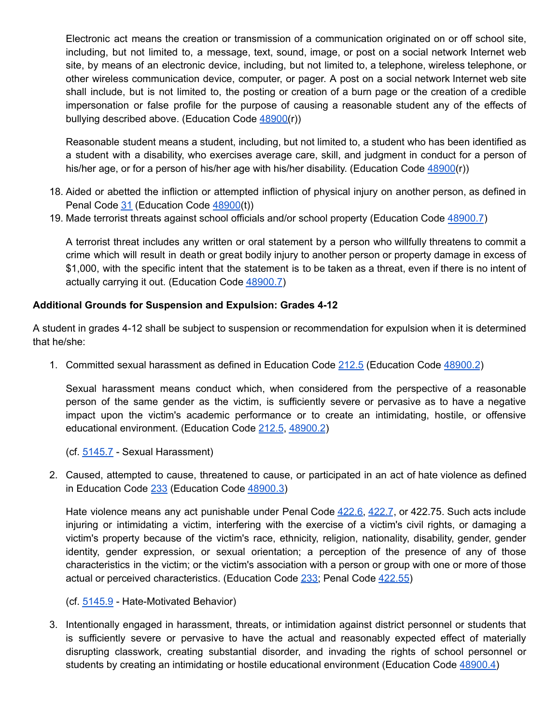Electronic act means the creation or transmission of a communication originated on or off school site, including, but not limited to, a message, text, sound, image, or post on a social network Internet web site, by means of an electronic device, including, but not limited to, a telephone, wireless telephone, or other wireless communication device, computer, or pager. A post on a social network Internet web site shall include, but is not limited to, the posting or creation of a burn page or the creation of a credible impersonation or false profile for the purpose of causing a reasonable student any of the effects of bullying described above. (Education Code [48900\(](http://www.gamutonline.net/district/palmsprings/displayPolicy/137736/5)r))

Reasonable student means a student, including, but not limited to, a student who has been identified as a student with a disability, who exercises average care, skill, and judgment in conduct for a person of his/her age, or for a person of his/her age with his/her disability. (Education Code [48900](http://www.gamutonline.net/district/palmsprings/displayPolicy/137736/5)(r))

- 18. Aided or abetted the infliction or attempted infliction of physical injury on another person, as defined in Penal Code [31](http://www.gamutonline.net/district/palmsprings/displayPolicy/250705/5) (Education Code [48900](http://www.gamutonline.net/district/palmsprings/displayPolicy/137736/5)(t))
- 19. Made terrorist threats against school officials and/or school property (Education Code [48900.7](http://www.gamutonline.net/district/palmsprings/displayPolicy/137640/5))

A terrorist threat includes any written or oral statement by a person who willfully threatens to commit a crime which will result in death or great bodily injury to another person or property damage in excess of \$1,000, with the specific intent that the statement is to be taken as a threat, even if there is no intent of actually carrying it out. (Education Code [48900.7](http://www.gamutonline.net/district/palmsprings/displayPolicy/137640/5))

### **Additional Grounds for Suspension and Expulsion: Grades 4-12**

A student in grades 4-12 shall be subject to suspension or recommendation for expulsion when it is determined that he/she:

1. Committed sexual harassment as defined in Education Code [212.5](http://www.gamutonline.net/district/palmsprings/displayPolicy/138759/5) (Education Code [48900.2](http://www.gamutonline.net/district/palmsprings/displayPolicy/132221/5))

Sexual harassment means conduct which, when considered from the perspective of a reasonable person of the same gender as the victim, is sufficiently severe or pervasive as to have a negative impact upon the victim's academic performance or to create an intimidating, hostile, or offensive educational environment. (Education Code [212.5](http://www.gamutonline.net/district/palmsprings/displayPolicy/138759/5), [48900.2](http://www.gamutonline.net/district/palmsprings/displayPolicy/132221/5))

(cf. [5145.7](http://www.gamutonline.net/district/palmsprings/displayPolicy/436704/5) - Sexual Harassment)

2. Caused, attempted to cause, threatened to cause, or participated in an act of hate violence as defined in Education Code [233](http://www.gamutonline.net/district/palmsprings/displayPolicy/226219/5) (Education Code [48900.3\)](http://www.gamutonline.net/district/palmsprings/displayPolicy/132222/5)

Hate violence means any act punishable under Penal Code [422.6,](http://www.gamutonline.net/district/palmsprings/displayPolicy/169695/5) [422.7](http://www.gamutonline.net/district/palmsprings/displayPolicy/169368/5), or 422.75. Such acts include injuring or intimidating a victim, interfering with the exercise of a victim's civil rights, or damaging a victim's property because of the victim's race, ethnicity, religion, nationality, disability, gender, gender identity, gender expression, or sexual orientation; a perception of the presence of any of those characteristics in the victim; or the victim's association with a person or group with one or more of those actual or perceived characteristics. (Education Code [233;](http://www.gamutonline.net/district/palmsprings/displayPolicy/226219/5) Penal Code [422.55\)](http://www.gamutonline.net/district/palmsprings/displayPolicy/352313/5)

(cf. [5145.9](http://www.gamutonline.net/district/palmsprings/displayPolicy/436708/5) - Hate-Motivated Behavior)

3. Intentionally engaged in harassment, threats, or intimidation against district personnel or students that is sufficiently severe or pervasive to have the actual and reasonably expected effect of materially disrupting classwork, creating substantial disorder, and invading the rights of school personnel or students by creating an intimidating or hostile educational environment (Education Code [48900.4\)](http://www.gamutonline.net/district/palmsprings/displayPolicy/132223/5)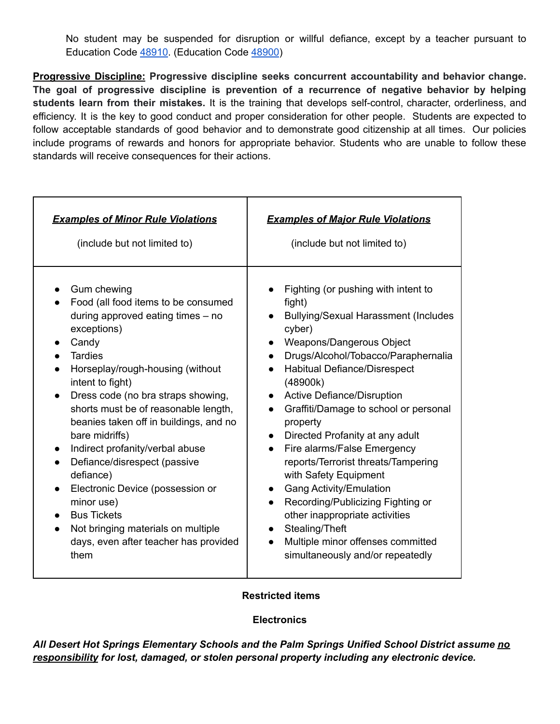No student may be suspended for disruption or willful defiance, except by a teacher pursuant to Education Code [48910.](http://www.gamutonline.net/district/palmsprings/displayPolicy/132235/) (Education Code [48900](http://www.gamutonline.net/district/palmsprings/displayPolicy/137736/))

**Progressive Discipline: Progressive discipline seeks concurrent accountability and behavior change. The goal of progressive discipline is prevention of a recurrence of negative behavior by helping students learn from their mistakes.** It is the training that develops self-control, character, orderliness, and efficiency. It is the key to good conduct and proper consideration for other people. Students are expected to follow acceptable standards of good behavior and to demonstrate good citizenship at all times. Our policies include programs of rewards and honors for appropriate behavior. Students who are unable to follow these standards will receive consequences for their actions.

| <b>Examples of Minor Rule Violations</b>                                                                                                                                                                                                                                                                                                                                                                                                                                                                                                                                                          | <b>Examples of Major Rule Violations</b>                                                                                                                                                                                                                                                                                                                                                                                                                                                                                                                                                                                                                                                                                                         |
|---------------------------------------------------------------------------------------------------------------------------------------------------------------------------------------------------------------------------------------------------------------------------------------------------------------------------------------------------------------------------------------------------------------------------------------------------------------------------------------------------------------------------------------------------------------------------------------------------|--------------------------------------------------------------------------------------------------------------------------------------------------------------------------------------------------------------------------------------------------------------------------------------------------------------------------------------------------------------------------------------------------------------------------------------------------------------------------------------------------------------------------------------------------------------------------------------------------------------------------------------------------------------------------------------------------------------------------------------------------|
| (include but not limited to)                                                                                                                                                                                                                                                                                                                                                                                                                                                                                                                                                                      | (include but not limited to)                                                                                                                                                                                                                                                                                                                                                                                                                                                                                                                                                                                                                                                                                                                     |
| Gum chewing<br>Food (all food items to be consumed<br>during approved eating times $-$ no<br>exceptions)<br>Candy<br><b>Tardies</b><br>Horseplay/rough-housing (without<br>intent to fight)<br>Dress code (no bra straps showing,<br>$\bullet$<br>shorts must be of reasonable length,<br>beanies taken off in buildings, and no<br>bare midriffs)<br>Indirect profanity/verbal abuse<br>Defiance/disrespect (passive<br>defiance)<br>Electronic Device (possession or<br>minor use)<br><b>Bus Tickets</b><br>Not bringing materials on multiple<br>days, even after teacher has provided<br>them | Fighting (or pushing with intent to<br>fight)<br><b>Bullying/Sexual Harassment (Includes</b><br>$\bullet$<br>cyber)<br>Weapons/Dangerous Object<br>$\bullet$<br>Drugs/Alcohol/Tobacco/Paraphernalia<br>$\bullet$<br>Habitual Defiance/Disrespect<br>$\bullet$<br>(48900k)<br><b>Active Defiance/Disruption</b><br>$\bullet$<br>Graffiti/Damage to school or personal<br>property<br>Directed Profanity at any adult<br>$\bullet$<br>Fire alarms/False Emergency<br>$\bullet$<br>reports/Terrorist threats/Tampering<br>with Safety Equipment<br><b>Gang Activity/Emulation</b><br>Recording/Publicizing Fighting or<br>other inappropriate activities<br>Stealing/Theft<br>Multiple minor offenses committed<br>simultaneously and/or repeatedly |

#### **Restricted items**

#### **Electronics**

*All Desert Hot Springs Elementary Schools and the Palm Springs Unified School District assume no responsibility for lost, damaged, or stolen personal property including any electronic device.*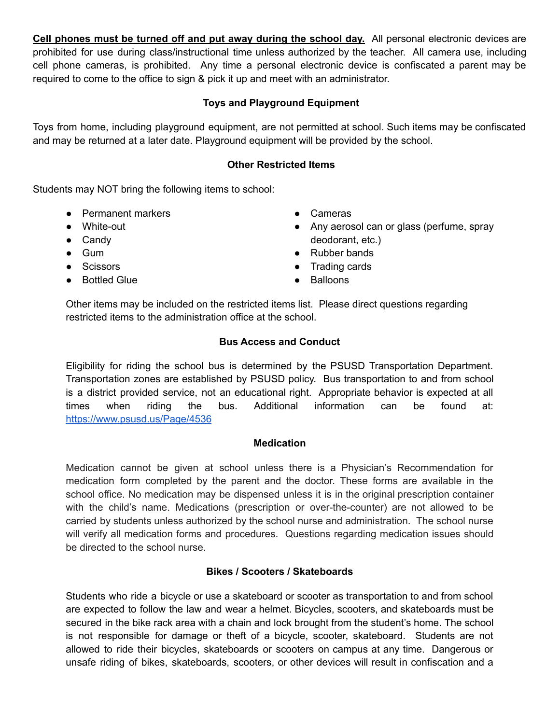**Cell phones must be turned off and put away during the school day.** All personal electronic devices are prohibited for use during class/instructional time unless authorized by the teacher. All camera use, including cell phone cameras, is prohibited. Any time a personal electronic device is confiscated a parent may be required to come to the office to sign & pick it up and meet with an administrator.

## **Toys and Playground Equipment**

Toys from home, including playground equipment, are not permitted at school. Such items may be confiscated and may be returned at a later date. Playground equipment will be provided by the school.

#### **Other Restricted Items**

Students may NOT bring the following items to school:

- Permanent markers
- White-out
- Candy
- Gum
- Scissors
- Bottled Glue
- Cameras
- Any aerosol can or glass (perfume, spray deodorant, etc.)
- Rubber bands
- Trading cards
- **Balloons**

Other items may be included on the restricted items list. Please direct questions regarding restricted items to the administration office at the school.

### **Bus Access and Conduct**

Eligibility for riding the school bus is determined by the PSUSD Transportation Department. Transportation zones are established by PSUSD policy. Bus transportation to and from school is a district provided service, not an educational right. Appropriate behavior is expected at all times when riding the bus. Additional information can be found at: <https://www.psusd.us/Page/4536>

#### **Medication**

Medication cannot be given at school unless there is a Physician's Recommendation for medication form completed by the parent and the doctor. These forms are available in the school office. No medication may be dispensed unless it is in the original prescription container with the child's name. Medications (prescription or over-the-counter) are not allowed to be carried by students unless authorized by the school nurse and administration. The school nurse will verify all medication forms and procedures. Questions regarding medication issues should be directed to the school nurse.

### **Bikes / Scooters / Skateboards**

Students who ride a bicycle or use a skateboard or scooter as transportation to and from school are expected to follow the law and wear a helmet. Bicycles, scooters, and skateboards must be secured in the bike rack area with a chain and lock brought from the student's home. The school is not responsible for damage or theft of a bicycle, scooter, skateboard. Students are not allowed to ride their bicycles, skateboards or scooters on campus at any time. Dangerous or unsafe riding of bikes, skateboards, scooters, or other devices will result in confiscation and a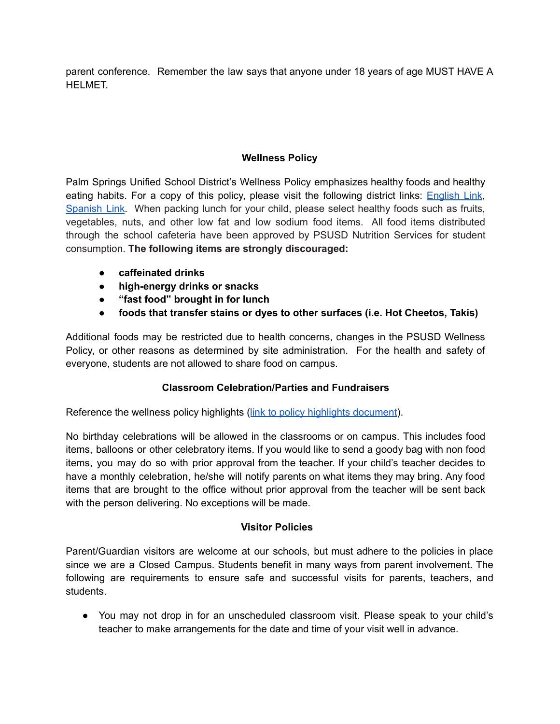parent conference. Remember the law says that anyone under 18 years of age MUST HAVE A HELMET.

## **Wellness Policy**

Palm Springs Unified School District's Wellness Policy emphasizes healthy foods and healthy eating habits. For a copy of this policy, please visit the following district links: **[English](http://district.schoolnutritionandfitness.com/palmspringsusd/files/PSUSD%20Wellness%20Policy%202017%20Final%20Copy%20Use%20this%20one.pdf) Link**, [Spanish](http://district.schoolnutritionandfitness.com/palmspringsusd/files/Wellness%20Policy%202017%20Spanish.pdf) Link. When packing lunch for your child, please select healthy foods such as fruits, vegetables, nuts, and other low fat and low sodium food items. All food items distributed through the school cafeteria have been approved by PSUSD Nutrition Services for student consumption. **The following items are strongly discouraged:**

- **caffeinated drinks**
- **high-energy drinks or snacks**
- **"fast food" brought in for lunch**
- **foods that transfer stains or dyes to other surfaces (i.e. Hot Cheetos, Takis)**

Additional foods may be restricted due to health concerns, changes in the PSUSD Wellness Policy, or other reasons as determined by site administration. For the health and safety of everyone, students are not allowed to share food on campus.

## **Classroom Celebration/Parties and Fundraisers**

Reference the wellness policy highlights (link to policy highlights [document](http://district.schoolnutritionandfitness.com/palmspringsusd/files/WP%20Summary%20Foods%20Highlights.pdf)).

No birthday celebrations will be allowed in the classrooms or on campus. This includes food items, balloons or other celebratory items. If you would like to send a goody bag with non food items, you may do so with prior approval from the teacher. If your child's teacher decides to have a monthly celebration, he/she will notify parents on what items they may bring. Any food items that are brought to the office without prior approval from the teacher will be sent back with the person delivering. No exceptions will be made.

## **Visitor Policies**

Parent/Guardian visitors are welcome at our schools, but must adhere to the policies in place since we are a Closed Campus. Students benefit in many ways from parent involvement. The following are requirements to ensure safe and successful visits for parents, teachers, and students.

• You may not drop in for an unscheduled classroom visit. Please speak to your child's teacher to make arrangements for the date and time of your visit well in advance.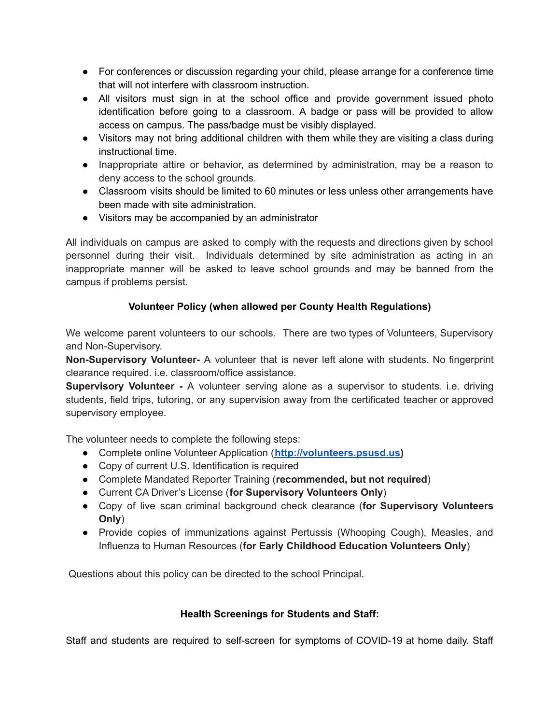- For conferences or discussion regarding your child, please arrange for a conference time that will not interfere with classroom instruction.
- All visitors must sign in at the school office and provide government issued photo identification before going to a classroom. A badge or pass will be provided to allow access on campus. The pass/badge must be visibly displayed.
- Visitors may not bring additional children with them while they are visiting a class during instructional time.
- Inappropriate attire or behavior, as determined by administration, may be a reason to deny access to the school grounds.
- Classroom visits should be limited to 60 minutes or less unless other arrangements have been made with site administration.
- Visitors may be accompanied by an administrator

All individuals on campus are asked to comply with the requests and directions given by school personnel during their visit. Individuals determined by site administration as acting in an inappropriate manner will be asked to leave school grounds and may be banned from the campus if problems persist.

# **Volunteer Policy (when allowed per County Health Regulations)**

We welcome parent volunteers to our schools. There are two types of Volunteers, Supervisory and Non-Supervisory.

**Non-Supervisory Volunteer-** A volunteer that is never left alone with students. No fingerprint clearance required. i.e. classroom/office assistance.

**Supervisory Volunteer -** A volunteer serving alone as a supervisor to students. i.e. driving students, field trips, tutoring, or any supervision away from the certificated teacher or approved supervisory employee.

The volunteer needs to complete the following steps:

- Complete online Volunteer Application (**[http://volunteers.psusd.us\)](http://volunteers.psusd.us)**
- Copy of current U.S. Identification is required
- Complete Mandated Reporter Training (**recommended, but not required**)
- Current CA Driver's License (**for Supervisory Volunteers Only**)
- Copy of live scan criminal background check clearance (**for Supervisory Volunteers Only**)
- Provide copies of immunizations against Pertussis (Whooping Cough), Measles, and Influenza to Human Resources (**for Early Childhood Education Volunteers Only**)

Questions about this policy can be directed to the school Principal.

# **Health Screenings for Students and Staff:**

Staff and students are required to self-screen for symptoms of COVID-19 at home daily. Staff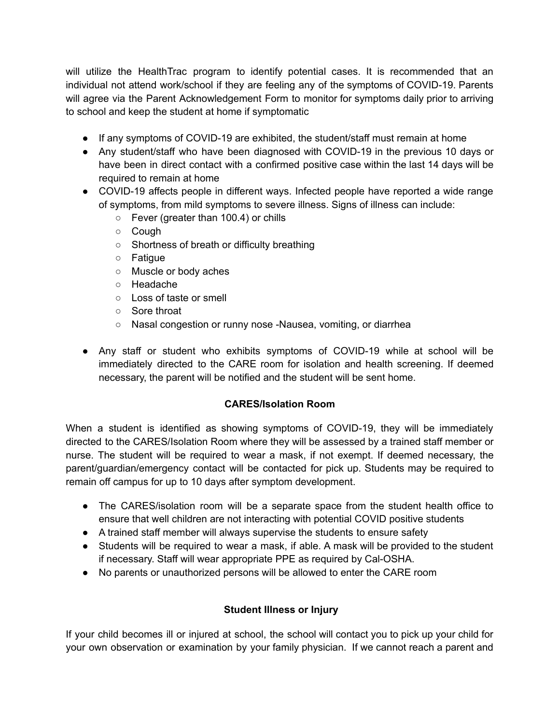will utilize the HealthTrac program to identify potential cases. It is recommended that an individual not attend work/school if they are feeling any of the symptoms of COVID-19. Parents will agree via the Parent Acknowledgement Form to monitor for symptoms daily prior to arriving to school and keep the student at home if symptomatic

- If any symptoms of COVID-19 are exhibited, the student/staff must remain at home
- Any student/staff who have been diagnosed with COVID-19 in the previous 10 days or have been in direct contact with a confirmed positive case within the last 14 days will be required to remain at home
- COVID-19 affects people in different ways. Infected people have reported a wide range of symptoms, from mild symptoms to severe illness. Signs of illness can include:
	- Fever (greater than 100.4) or chills
	- Cough
	- Shortness of breath or difficulty breathing
	- Fatigue
	- Muscle or body aches
	- Headache
	- Loss of taste or smell
	- Sore throat
	- Nasal congestion or runny nose -Nausea, vomiting, or diarrhea
- Any staff or student who exhibits symptoms of COVID-19 while at school will be immediately directed to the CARE room for isolation and health screening. If deemed necessary, the parent will be notified and the student will be sent home.

## **CARES/Isolation Room**

When a student is identified as showing symptoms of COVID-19, they will be immediately directed to the CARES/Isolation Room where they will be assessed by a trained staff member or nurse. The student will be required to wear a mask, if not exempt. If deemed necessary, the parent/guardian/emergency contact will be contacted for pick up. Students may be required to remain off campus for up to 10 days after symptom development.

- The CARES/isolation room will be a separate space from the student health office to ensure that well children are not interacting with potential COVID positive students
- A trained staff member will always supervise the students to ensure safety
- Students will be required to wear a mask, if able. A mask will be provided to the student if necessary. Staff will wear appropriate PPE as required by Cal-OSHA.
- No parents or unauthorized persons will be allowed to enter the CARE room

# **Student Illness or Injury**

If your child becomes ill or injured at school, the school will contact you to pick up your child for your own observation or examination by your family physician. If we cannot reach a parent and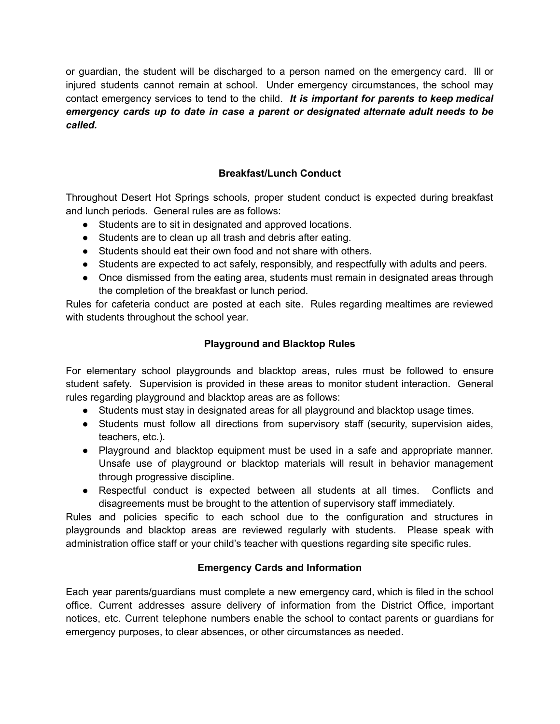or guardian, the student will be discharged to a person named on the emergency card. Ill or injured students cannot remain at school. Under emergency circumstances, the school may contact emergency services to tend to the child. *It is important for parents to keep medical emergency cards up to date in case a parent or designated alternate adult needs to be called.*

## **Breakfast/Lunch Conduct**

Throughout Desert Hot Springs schools, proper student conduct is expected during breakfast and lunch periods. General rules are as follows:

- Students are to sit in designated and approved locations.
- Students are to clean up all trash and debris after eating.
- Students should eat their own food and not share with others.
- Students are expected to act safely, responsibly, and respectfully with adults and peers.
- Once dismissed from the eating area, students must remain in designated areas through the completion of the breakfast or lunch period.

Rules for cafeteria conduct are posted at each site. Rules regarding mealtimes are reviewed with students throughout the school year.

## **Playground and Blacktop Rules**

For elementary school playgrounds and blacktop areas, rules must be followed to ensure student safety. Supervision is provided in these areas to monitor student interaction. General rules regarding playground and blacktop areas are as follows:

- Students must stay in designated areas for all playground and blacktop usage times.
- Students must follow all directions from supervisory staff (security, supervision aides, teachers, etc.).
- Playground and blacktop equipment must be used in a safe and appropriate manner. Unsafe use of playground or blacktop materials will result in behavior management through progressive discipline.
- Respectful conduct is expected between all students at all times. Conflicts and disagreements must be brought to the attention of supervisory staff immediately.

Rules and policies specific to each school due to the configuration and structures in playgrounds and blacktop areas are reviewed regularly with students. Please speak with administration office staff or your child's teacher with questions regarding site specific rules.

## **Emergency Cards and Information**

Each year parents/guardians must complete a new emergency card, which is filed in the school office. Current addresses assure delivery of information from the District Office, important notices, etc. Current telephone numbers enable the school to contact parents or guardians for emergency purposes, to clear absences, or other circumstances as needed.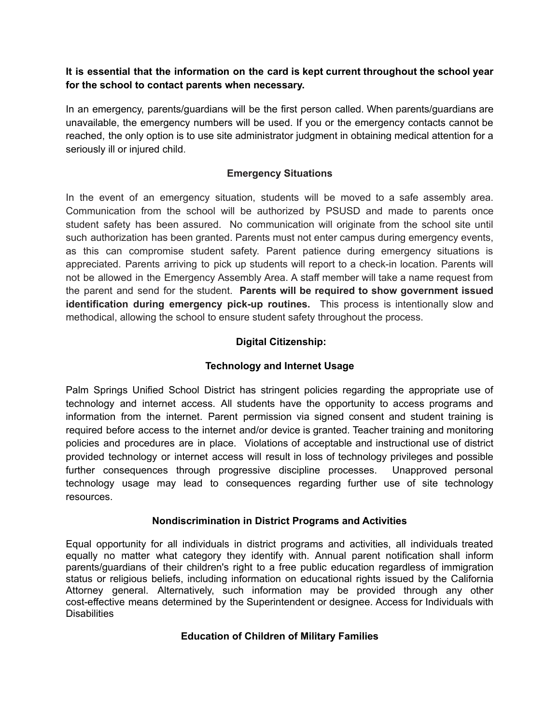### **It is essential that the information on the card is kept current throughout the school year for the school to contact parents when necessary.**

In an emergency, parents/guardians will be the first person called. When parents/guardians are unavailable, the emergency numbers will be used. If you or the emergency contacts cannot be reached, the only option is to use site administrator judgment in obtaining medical attention for a seriously ill or injured child.

### **Emergency Situations**

In the event of an emergency situation, students will be moved to a safe assembly area. Communication from the school will be authorized by PSUSD and made to parents once student safety has been assured. No communication will originate from the school site until such authorization has been granted. Parents must not enter campus during emergency events, as this can compromise student safety. Parent patience during emergency situations is appreciated. Parents arriving to pick up students will report to a check-in location. Parents will not be allowed in the Emergency Assembly Area. A staff member will take a name request from the parent and send for the student. **Parents will be required to show government issued identification during emergency pick-up routines.** This process is intentionally slow and methodical, allowing the school to ensure student safety throughout the process.

## **Digital Citizenship:**

## **Technology and Internet Usage**

Palm Springs Unified School District has stringent policies regarding the appropriate use of technology and internet access. All students have the opportunity to access programs and information from the internet. Parent permission via signed consent and student training is required before access to the internet and/or device is granted. Teacher training and monitoring policies and procedures are in place. Violations of acceptable and instructional use of district provided technology or internet access will result in loss of technology privileges and possible further consequences through progressive discipline processes. Unapproved personal technology usage may lead to consequences regarding further use of site technology resources.

#### **Nondiscrimination in District Programs and Activities**

Equal opportunity for all individuals in district programs and activities, all individuals treated equally no matter what category they identify with. Annual parent notification shall inform parents/guardians of their children's right to a free public education regardless of immigration status or religious beliefs, including information on educational rights issued by the California Attorney general. Alternatively, such information may be provided through any other cost-effective means determined by the Superintendent or designee. Access for Individuals with **Disabilities** 

#### **Education of Children of Military Families**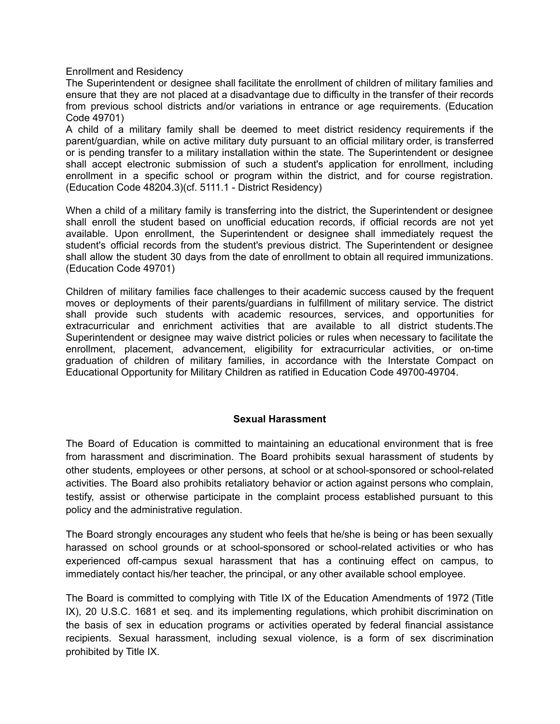Enrollment and Residency

The Superintendent or designee shall facilitate the enrollment of children of military families and ensure that they are not placed at a disadvantage due to difficulty in the transfer of their records from previous school districts and/or variations in entrance or age requirements. (Education Code 49701)

A child of a military family shall be deemed to meet district residency requirements if the parent/guardian, while on active military duty pursuant to an official military order, is transferred or is pending transfer to a military installation within the state. The Superintendent or designee shall accept electronic submission of such a student's application for enrollment, including enrollment in a specific school or program within the district, and for course registration. (Education Code 48204.3)(cf. 5111.1 - District Residency)

When a child of a military family is transferring into the district, the Superintendent or designee shall enroll the student based on unofficial education records, if official records are not yet available. Upon enrollment, the Superintendent or designee shall immediately request the student's official records from the student's previous district. The Superintendent or designee shall allow the student 30 days from the date of enrollment to obtain all required immunizations. (Education Code 49701)

Children of military families face challenges to their academic success caused by the frequent moves or deployments of their parents/guardians in fulfillment of military service. The district shall provide such students with academic resources, services, and opportunities for extracurricular and enrichment activities that are available to all district students.The Superintendent or designee may waive district policies or rules when necessary to facilitate the enrollment, placement, advancement, eligibility for extracurricular activities, or on-time graduation of children of military families, in accordance with the Interstate Compact on Educational Opportunity for Military Children as ratified in Education Code 49700-49704.

#### **Sexual Harassment**

The Board of Education is committed to maintaining an educational environment that is free from harassment and discrimination. The Board prohibits sexual harassment of students by other students, employees or other persons, at school or at school-sponsored or school-related activities. The Board also prohibits retaliatory behavior or action against persons who complain, testify, assist or otherwise participate in the complaint process established pursuant to this policy and the administrative regulation.

The Board strongly encourages any student who feels that he/she is being or has been sexually harassed on school grounds or at school-sponsored or school-related activities or who has experienced off-campus sexual harassment that has a continuing effect on campus, to immediately contact his/her teacher, the principal, or any other available school employee.

The Board is committed to complying with Title IX of the Education Amendments of 1972 (Title IX), 20 U.S.C. 1681 et seq. and its implementing regulations, which prohibit discrimination on the basis of sex in education programs or activities operated by federal financial assistance recipients. Sexual harassment, including sexual violence, is a form of sex discrimination prohibited by Title IX.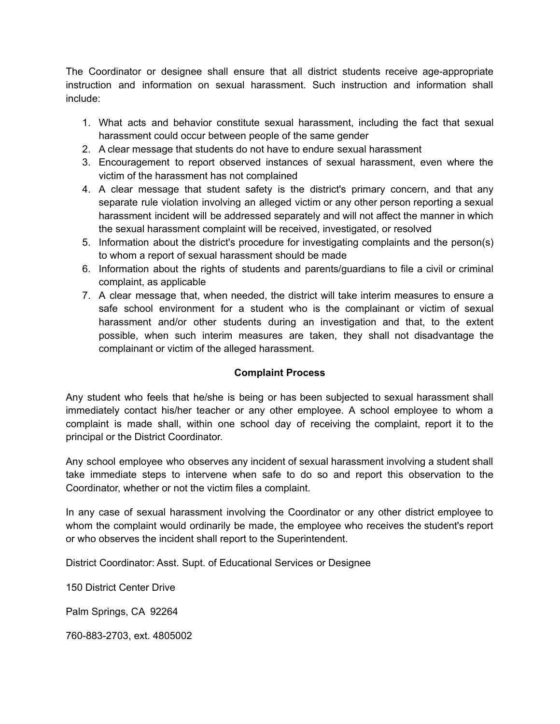The Coordinator or designee shall ensure that all district students receive age-appropriate instruction and information on sexual harassment. Such instruction and information shall include:

- 1. What acts and behavior constitute sexual harassment, including the fact that sexual harassment could occur between people of the same gender
- 2. A clear message that students do not have to endure sexual harassment
- 3. Encouragement to report observed instances of sexual harassment, even where the victim of the harassment has not complained
- 4. A clear message that student safety is the district's primary concern, and that any separate rule violation involving an alleged victim or any other person reporting a sexual harassment incident will be addressed separately and will not affect the manner in which the sexual harassment complaint will be received, investigated, or resolved
- 5. Information about the district's procedure for investigating complaints and the person(s) to whom a report of sexual harassment should be made
- 6. Information about the rights of students and parents/guardians to file a civil or criminal complaint, as applicable
- 7. A clear message that, when needed, the district will take interim measures to ensure a safe school environment for a student who is the complainant or victim of sexual harassment and/or other students during an investigation and that, to the extent possible, when such interim measures are taken, they shall not disadvantage the complainant or victim of the alleged harassment.

## **Complaint Process**

Any student who feels that he/she is being or has been subjected to sexual harassment shall immediately contact his/her teacher or any other employee. A school employee to whom a complaint is made shall, within one school day of receiving the complaint, report it to the principal or the District Coordinator.

Any school employee who observes any incident of sexual harassment involving a student shall take immediate steps to intervene when safe to do so and report this observation to the Coordinator, whether or not the victim files a complaint.

In any case of sexual harassment involving the Coordinator or any other district employee to whom the complaint would ordinarily be made, the employee who receives the student's report or who observes the incident shall report to the Superintendent.

District Coordinator: Asst. Supt. of Educational Services or Designee

150 District Center Drive

Palm Springs, CA 92264

760-883-2703, ext. 4805002